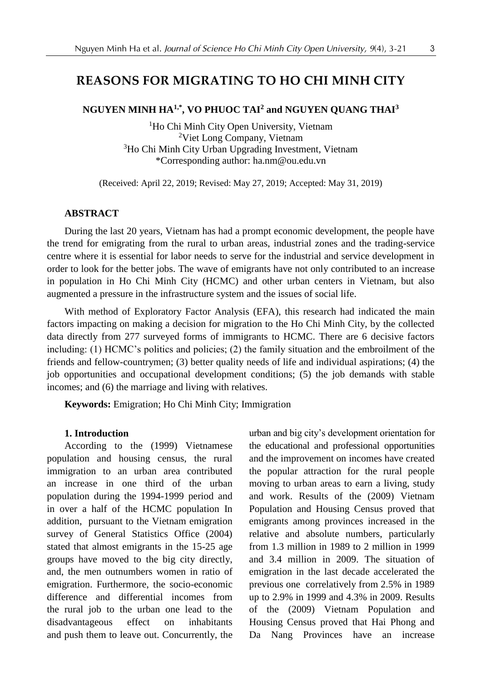# **REASONS FOR MIGRATING TO HO CHI MINH CITY**

#### **NGUYEN MINH HA1,\*, VO PHUOC TAI<sup>2</sup> and NGUYEN QUANG THAI<sup>3</sup>**

<sup>1</sup>Ho Chi Minh City Open University, Vietnam <sup>2</sup>Viet Long Company, Vietnam <sup>3</sup>Ho Chi Minh City Urban Upgrading Investment, Vietnam \*Corresponding author: [ha.nm@ou.edu.vn](mailto:ha.nm@ou.edu.vn)

(Received: April 22, 2019; Revised: May 27, 2019; Accepted: May 31, 2019)

#### **ABSTRACT**

During the last 20 years, Vietnam has had a prompt economic development, the people have the trend for emigrating from the rural to urban areas, industrial zones and the trading-service centre where it is essential for labor needs to serve for the industrial and service development in order to look for the better jobs. The wave of emigrants have not only contributed to an increase in population in Ho Chi Minh City (HCMC) and other urban centers in Vietnam, but also augmented a pressure in the infrastructure system and the issues of social life.

With method of Exploratory Factor Analysis (EFA), this research had indicated the main factors impacting on making a decision for migration to the Ho Chi Minh City, by the collected data directly from 277 surveyed forms of immigrants to HCMC. There are 6 decisive factors including: (1) HCMC's politics and policies; (2) the family situation and the embroilment of the friends and fellow-countrymen; (3) better quality needs of life and individual aspirations; (4) the job opportunities and occupational development conditions; (5) the job demands with stable incomes; and (6) the marriage and living with relatives.

**Keywords:** Emigration; Ho Chi Minh City; Immigration

#### **1. Introduction**

According to the (1999) Vietnamese population and housing census, the rural immigration to an urban area contributed an increase in one third of the urban population during the 1994-1999 period and in over a half of the HCMC population In addition, pursuant to the Vietnam emigration survey of General Statistics Office (2004) stated that almost emigrants in the 15-25 age groups have moved to the big city directly, and, the men outnumbers women in ratio of emigration. Furthermore, the socio-economic difference and differential incomes from the rural job to the urban one lead to the disadvantageous effect on inhabitants and push them to leave out. Concurrently, the urban and big city's development orientation for the educational and professional opportunities and the improvement on incomes have created the popular attraction for the rural people moving to urban areas to earn a living, study and work. Results of the (2009) Vietnam Population and Housing Census proved that emigrants among provinces increased in the relative and absolute numbers, particularly from 1.3 million in 1989 to 2 million in 1999 and 3.4 million in 2009. The situation of emigration in the last decade accelerated the previous one correlatively from 2.5% in 1989 up to 2.9% in 1999 and 4.3% in 2009. Results of the (2009) Vietnam Population and Housing Census proved that Hai Phong and Da Nang Provinces have an increase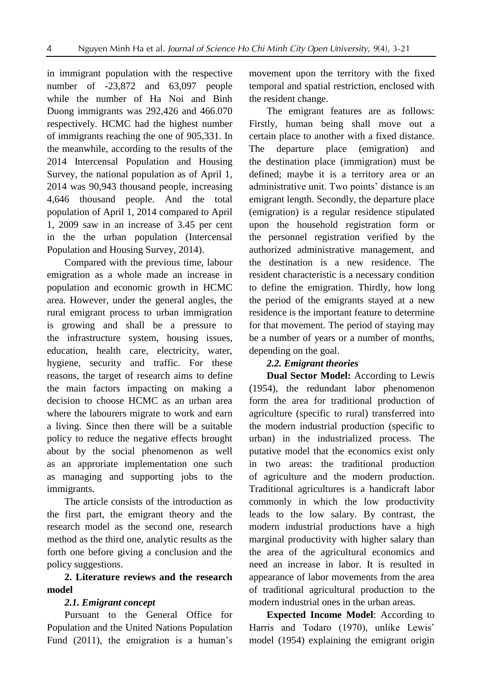in immigrant population with the respective number of -23,872 and 63,097 people while the number of Ha Noi and Binh Duong immigrants was 292,426 and 466.070 respectively. HCMC had the highest number of immigrants reaching the one of 905,331. In the meanwhile, according to the results of the 2014 Intercensal Population and Housing Survey, the national population as of April 1, 2014 was 90,943 thousand people, increasing 4,646 thousand people. And the total population of April 1, 2014 compared to April 1, 2009 saw in an increase of 3.45 per cent in the the urban population (Intercensal Population and Housing Survey, 2014).

Compared with the previous time, labour emigration as a whole made an increase in population and economic growth in HCMC area. However, under the general angles, the rural emigrant process to urban immigration is growing and shall be a pressure to the infrastructure system, housing issues, education, health care, electricity, water, hygiene, security and traffic. For these reasons, the target of research aims to define the main factors impacting on making a decision to choose HCMC as an urban area where the labourers migrate to work and earn a living. Since then there will be a suitable policy to reduce the negative effects brought about by the social phenomenon as well as an approriate implementation one such as managing and supporting jobs to the immigrants.

The article consists of the introduction as the first part, the emigrant theory and the research model as the second one, research method as the third one, analytic results as the forth one before giving a conclusion and the policy suggestions.

# **2. Literature reviews and the research model**

# *2.1. Emigrant concept*

Pursuant to the General Office for Population and the United Nations Population Fund (2011), the emigration is a human's

movement upon the territory with the fixed temporal and spatial restriction, enclosed with the resident change.

The emigrant features are as follows: Firstly, human being shall move out a certain place to another with a fixed distance. The departure place (emigration) and the destination place (immigration) must be defined; maybe it is a territory area or an administrative unit. Two points' distance is an emigrant length. Secondly, the departure place (emigration) is a regular residence stipulated upon the household registration form or the personnel registration verified by the authorized administrative management, and the destination is a new residence. The resident characteristic is a necessary condition to define the emigration. Thirdly, how long the period of the emigrants stayed at a new residence is the important feature to determine for that movement. The period of staying may be a number of years or a number of months, depending on the goal.

# *2.2. Emigrant theories*

**Dual Sector Model:** According to Lewis (1954), the redundant labor phenomenon form the area for traditional production of agriculture (specific to rural) transferred into the modern industrial production (specific to urban) in the industrialized process. The putative model that the economics exist only in two areas: the traditional production of agriculture and the modern production. Traditional agricultures is a handicraft labor commonly in which the low productivity leads to the low salary. By contrast, the modern industrial productions have a high marginal productivity with higher salary than the area of the agricultural economics and need an increase in labor. It is resulted in appearance of labor movements from the area of traditional agricultural production to the modern industrial ones in the urban areas.

**Expected Income Model**: According to Harris and Todaro (1970), unlike Lewis' model (1954) explaining the emigrant origin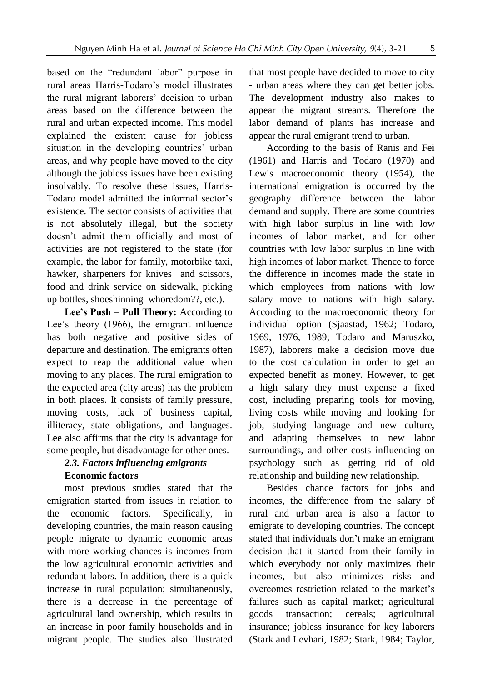based on the "redundant labor" purpose in rural areas Harris-Todaro's model illustrates the rural migrant laborers' decision to urban areas based on the difference between the rural and urban expected income. This model explained the existent cause for jobless situation in the developing countries' urban areas, and why people have moved to the city although the jobless issues have been existing insolvably. To resolve these issues, Harris-Todaro model admitted the informal sector's existence. The sector consists of activities that is not absolutely illegal, but the society doesn't admit them officially and most of activities are not registered to the state (for example, the labor for family, motorbike taxi, hawker, sharpeners for knives and scissors, food and drink service on sidewalk, picking up bottles, shoeshinning whoredom??, etc.).

**Lee's Push – Pull Theory:** According to Lee's theory (1966), the emigrant influence has both negative and positive sides of departure and destination. The emigrants often expect to reap the additional value when moving to any places. The rural emigration to the expected area (city areas) has the problem in both places. It consists of family pressure, moving costs, lack of business capital, illiteracy, state obligations, and languages. Lee also affirms that the city is advantage for some people, but disadvantage for other ones.

# *2.3. Factors influencing emigrants*  **Economic factors**

most previous studies stated that the emigration started from issues in relation to the economic factors. Specifically, in developing countries, the main reason causing people migrate to dynamic economic areas with more working chances is incomes from the low agricultural economic activities and redundant labors. In addition, there is a quick increase in rural population; simultaneously, there is a decrease in the percentage of agricultural land ownership, which results in an increase in poor family households and in migrant people. The studies also illustrated

that most people have decided to move to city - urban areas where they can get better jobs. The development industry also makes to appear the migrant streams. Therefore the labor demand of plants has increase and appear the rural emigrant trend to urban.

According to the basis of Ranis and Fei (1961) and Harris and Todaro (1970) and Lewis macroeconomic theory (1954), the international emigration is occurred by the geography difference between the labor demand and supply. There are some countries with high labor surplus in line with low incomes of labor market, and for other countries with low labor surplus in line with high incomes of labor market. Thence to force the difference in incomes made the state in which employees from nations with low salary move to nations with high salary. According to the macroeconomic theory for individual option (Sjaastad, 1962; Todaro, 1969, 1976, 1989; Todaro and Maruszko, 1987), laborers make a decision move due to the cost calculation in order to get an expected benefit as money. However, to get a high salary they must expense a fixed cost, including preparing tools for moving, living costs while moving and looking for job, studying language and new culture, and adapting themselves to new labor surroundings, and other costs influencing on psychology such as getting rid of old relationship and building new relationship.

Besides chance factors for jobs and incomes, the difference from the salary of rural and urban area is also a factor to emigrate to developing countries. The concept stated that individuals don't make an emigrant decision that it started from their family in which everybody not only maximizes their incomes, but also minimizes risks and overcomes restriction related to the market's failures such as capital market; agricultural goods transaction; cereals; agricultural insurance; jobless insurance for key laborers (Stark and Levhari, 1982; Stark, 1984; Taylor,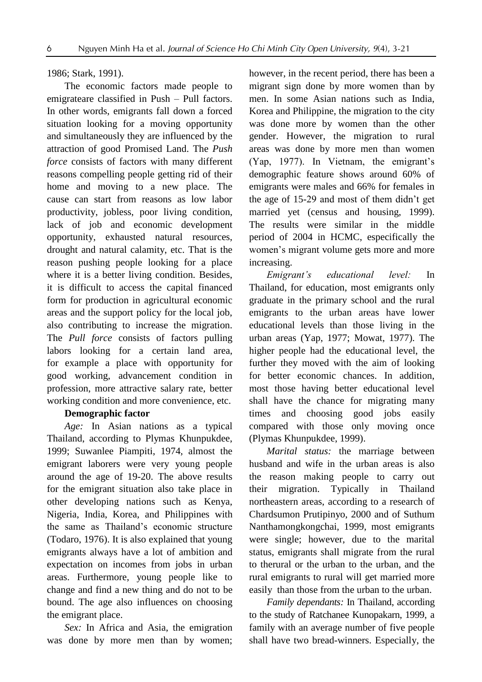1986; Stark, 1991).

The economic factors made people to emigrateare classified in Push – Pull factors. In other words, emigrants fall down a forced situation looking for a moving opportunity and simultaneously they are influenced by the attraction of good Promised Land. The *Push force* consists of factors with many different reasons compelling people getting rid of their home and moving to a new place. The cause can start from reasons as low labor productivity, jobless, poor living condition, lack of job and economic development opportunity, exhausted natural resources, drought and natural calamity, etc. That is the reason pushing people looking for a place where it is a better living condition. Besides, it is difficult to access the capital financed form for production in agricultural economic areas and the support policy for the local job, also contributing to increase the migration. The *Pull force* consists of factors pulling labors looking for a certain land area, for example a place with opportunity for good working, advancement condition in profession, more attractive salary rate, better working condition and more convenience, etc.

## **Demographic factor**

*Age:* In Asian nations as a typical Thailand, according to Plymas Khunpukdee, 1999; Suwanlee Piampiti, 1974, almost the emigrant laborers were very young people around the age of 19-20. The above results for the emigrant situation also take place in other developing nations such as Kenya, Nigeria, India, Korea, and Philippines with the same as Thailand's economic structure (Todaro, 1976). It is also explained that young emigrants always have a lot of ambition and expectation on incomes from jobs in urban areas. Furthermore, young people like to change and find a new thing and do not to be bound. The age also influences on choosing the emigrant place.

*Sex:* In Africa and Asia, the emigration was done by more men than by women;

however, in the recent period, there has been a migrant sign done by more women than by men. In some Asian nations such as India, Korea and Philippine, the migration to the city was done more by women than the other gender. However, the migration to rural areas was done by more men than women (Yap, 1977). In Vietnam, the emigrant's demographic feature shows around 60% of emigrants were males and 66% for females in the age of 15-29 and most of them didn't get married yet (census and housing, 1999). The results were similar in the middle period of 2004 in HCMC, especifically the women's migrant volume gets more and more increasing.

*Emigrant's educational level:* In Thailand, for education, most emigrants only graduate in the primary school and the rural emigrants to the urban areas have lower educational levels than those living in the urban areas (Yap, 1977; Mowat, 1977). The higher people had the educational level, the further they moved with the aim of looking for better economic chances. In addition, most those having better educational level shall have the chance for migrating many times and choosing good jobs easily compared with those only moving once (Plymas Khunpukdee, 1999).

*Marital status:* the marriage between husband and wife in the urban areas is also the reason making people to carry out their migration. Typically in Thailand northeastern areas, according to a research of Chardsumon Prutipinyo, 2000 and of Suthum Nanthamongkongchai, 1999, most emigrants were single; however, due to the marital status, emigrants shall migrate from the rural to therural or the urban to the urban, and the rural emigrants to rural will get married more easily than those from the urban to the urban.

*Family dependants:* In Thailand, according to the study of Ratchanee Kunopakarn, 1999, a family with an average number of five people shall have two bread-winners. Especially, the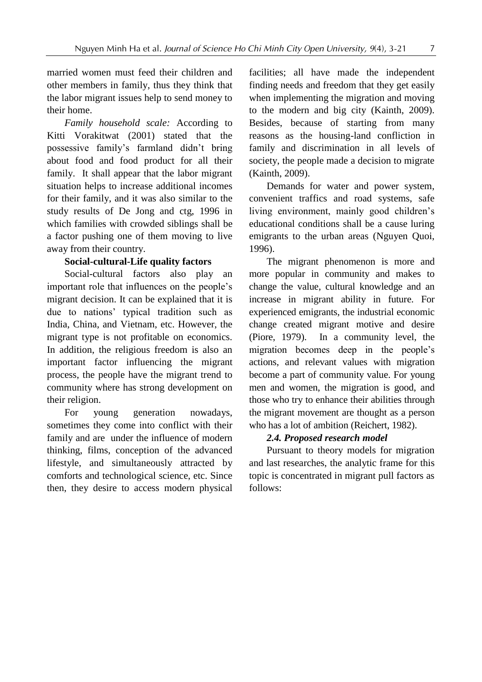married women must feed their children and other members in family, thus they think that the labor migrant issues help to send money to their home.

*Family household scale:* According to Kitti Vorakitwat (2001) stated that the possessive family's farmland didn't bring about food and food product for all their family. It shall appear that the labor migrant situation helps to increase additional incomes for their family, and it was also similar to the study results of De Jong and ctg, 1996 in which families with crowded siblings shall be a factor pushing one of them moving to live away from their country.

## **Social-cultural-Life quality factors**

Social-cultural factors also play an important role that influences on the people's migrant decision. It can be explained that it is due to nations' typical tradition such as India, China, and Vietnam, etc. However, the migrant type is not profitable on economics. In addition, the religious freedom is also an important factor influencing the migrant process, the people have the migrant trend to community where has strong development on their religion.

For young generation nowadays, sometimes they come into conflict with their family and are under the influence of modern thinking, films, conception of the advanced lifestyle, and simultaneously attracted by comforts and technological science, etc. Since then, they desire to access modern physical

facilities; all have made the independent finding needs and freedom that they get easily when implementing the migration and moving to the modern and big city (Kainth, 2009). Besides, because of starting from many reasons as the housing-land confliction in family and discrimination in all levels of society, the people made a decision to migrate (Kainth, 2009).

Demands for water and power system, convenient traffics and road systems, safe living environment, mainly good children's educational conditions shall be a cause luring emigrants to the urban areas (Nguyen Quoi, 1996).

The migrant phenomenon is more and more popular in community and makes to change the value, cultural knowledge and an increase in migrant ability in future. For experienced emigrants, the industrial economic change created migrant motive and desire (Piore, 1979). In a community level, the migration becomes deep in the people's actions, and relevant values with migration become a part of community value. For young men and women, the migration is good, and those who try to enhance their abilities through the migrant movement are thought as a person who has a lot of ambition (Reichert, 1982).

#### *2.4. Proposed research model*

Pursuant to theory models for migration and last researches, the analytic frame for this topic is concentrated in migrant pull factors as follows: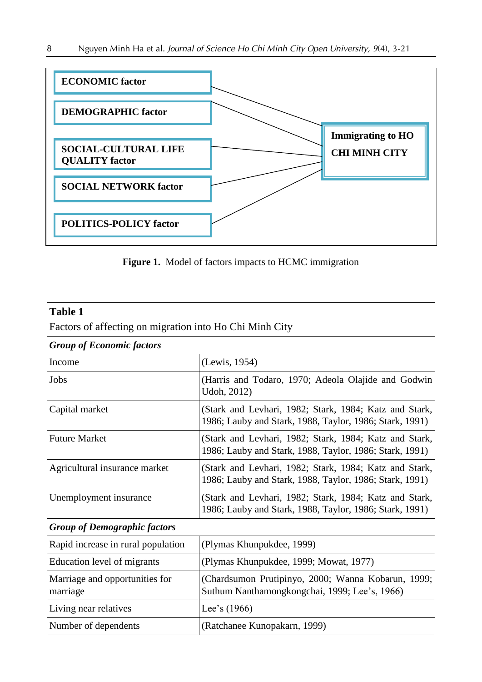

Figure 1. Model of factors impacts to HCMC immigration

| Factors of affecting on migration into Ho Chi Minh City                                                           |
|-------------------------------------------------------------------------------------------------------------------|
|                                                                                                                   |
| (Lewis, 1954)                                                                                                     |
| (Harris and Todaro, 1970; Adeola Olajide and Godwin<br>Udoh, 2012)                                                |
| (Stark and Levhari, 1982; Stark, 1984; Katz and Stark,<br>1986; Lauby and Stark, 1988, Taylor, 1986; Stark, 1991) |
| (Stark and Levhari, 1982; Stark, 1984; Katz and Stark,<br>1986; Lauby and Stark, 1988, Taylor, 1986; Stark, 1991) |
| (Stark and Levhari, 1982; Stark, 1984; Katz and Stark,<br>1986; Lauby and Stark, 1988, Taylor, 1986; Stark, 1991) |
| (Stark and Levhari, 1982; Stark, 1984; Katz and Stark,<br>1986; Lauby and Stark, 1988, Taylor, 1986; Stark, 1991) |
|                                                                                                                   |
| (Plymas Khunpukdee, 1999)                                                                                         |
| (Plymas Khunpukdee, 1999; Mowat, 1977)                                                                            |
| (Chardsumon Prutipinyo, 2000; Wanna Kobarun, 1999;<br>Suthum Nanthamongkongchai, 1999; Lee's, 1966)               |
| Lee's (1966)                                                                                                      |
| (Ratchanee Kunopakarn, 1999)                                                                                      |
|                                                                                                                   |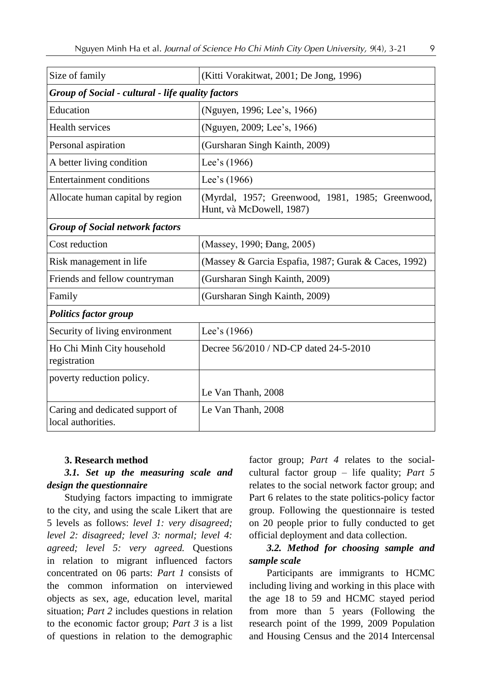| Size of family                                        | (Kitti Vorakitwat, 2001; De Jong, 1996)                                      |  |  |  |  |  |
|-------------------------------------------------------|------------------------------------------------------------------------------|--|--|--|--|--|
| Group of Social - cultural - life quality factors     |                                                                              |  |  |  |  |  |
| Education                                             | (Nguyen, 1996; Lee's, 1966)                                                  |  |  |  |  |  |
| <b>Health services</b>                                | (Nguyen, 2009; Lee's, 1966)                                                  |  |  |  |  |  |
| Personal aspiration                                   | (Gursharan Singh Kainth, 2009)                                               |  |  |  |  |  |
| A better living condition                             | Lee's $(1966)$                                                               |  |  |  |  |  |
| <b>Entertainment conditions</b>                       | Lee's (1966)                                                                 |  |  |  |  |  |
| Allocate human capital by region                      | (Myrdal, 1957; Greenwood, 1981, 1985; Greenwood,<br>Hunt, và McDowell, 1987) |  |  |  |  |  |
| <b>Group of Social network factors</b>                |                                                                              |  |  |  |  |  |
| Cost reduction                                        | (Massey, 1990; Dang, 2005)                                                   |  |  |  |  |  |
| Risk management in life                               | (Massey & Garcia Espafia, 1987; Gurak & Caces, 1992)                         |  |  |  |  |  |
| Friends and fellow countryman                         | (Gursharan Singh Kainth, 2009)                                               |  |  |  |  |  |
| Family                                                | (Gursharan Singh Kainth, 2009)                                               |  |  |  |  |  |
| <b>Politics factor group</b>                          |                                                                              |  |  |  |  |  |
| Security of living environment                        | Lee's (1966)                                                                 |  |  |  |  |  |
| Ho Chi Minh City household<br>registration            | Decree 56/2010 / ND-CP dated 24-5-2010                                       |  |  |  |  |  |
| poverty reduction policy.                             |                                                                              |  |  |  |  |  |
|                                                       | Le Van Thanh, 2008                                                           |  |  |  |  |  |
| Caring and dedicated support of<br>local authorities. | Le Van Thanh, 2008                                                           |  |  |  |  |  |

#### **3. Research method**

## *3.1. Set up the measuring scale and design the questionnaire*

Studying factors impacting to immigrate to the city, and using the scale Likert that are 5 levels as follows: *level 1: very disagreed; level 2: disagreed; level 3: normal; level 4: agreed; level 5: very agreed.* Questions in relation to migrant influenced factors concentrated on 06 parts: *Part 1* consists of the common information on interviewed objects as sex, age, education level, marital situation; *Part 2* includes questions in relation to the economic factor group; *Part 3* is a list of questions in relation to the demographic

factor group; *Part 4* relates to the socialcultural factor group – life quality; *Part 5*  relates to the social network factor group; and Part 6 relates to the state politics-policy factor group. Following the questionnaire is tested on 20 people prior to fully conducted to get official deployment and data collection.

## *3.2. Method for choosing sample and sample scale*

Participants are immigrants to HCMC including living and working in this place with the age 18 to 59 and HCMC stayed period from more than 5 years (Following the research point of the 1999, 2009 Population and Housing Census and the 2014 Intercensal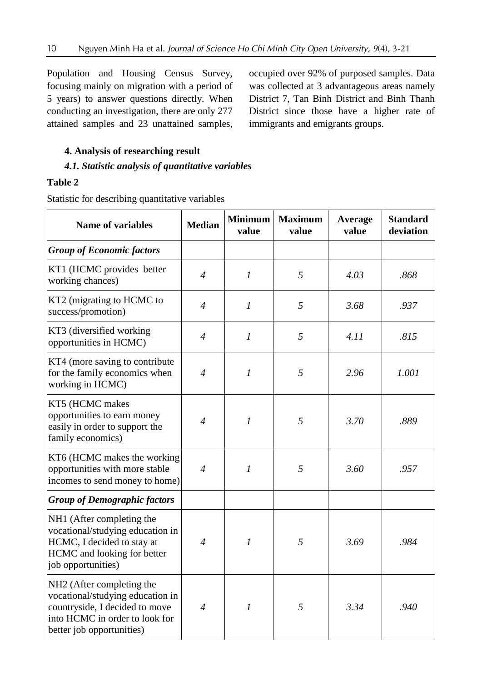Population and Housing Census Survey, focusing mainly on migration with a period of 5 years) to answer questions directly. When conducting an investigation, there are only 277 attained samples and 23 unattained samples,

occupied over 92% of purposed samples. Data was collected at 3 advantageous areas namely District 7, Tan Binh District and Binh Thanh District since those have a higher rate of immigrants and emigrants groups.

### **4. Analysis of researching result**

## *4.1. Statistic analysis of quantitative variables*

#### **Table 2**

Statistic for describing quantitative variables

| <b>Name of variables</b>                                                                                                                                                   | <b>Median</b>  | <b>Minimum</b><br>value     | <b>Maximum</b><br>value | <b>Average</b><br>value | <b>Standard</b><br>deviation |
|----------------------------------------------------------------------------------------------------------------------------------------------------------------------------|----------------|-----------------------------|-------------------------|-------------------------|------------------------------|
| <b>Group of Economic factors</b>                                                                                                                                           |                |                             |                         |                         |                              |
| KT1 (HCMC provides better<br>working chances)                                                                                                                              | $\overline{4}$ | $\mathcal{I}$               | 5                       | 4.03                    | .868                         |
| KT2 (migrating to HCMC to<br>success/promotion)                                                                                                                            | $\overline{4}$ | $\boldsymbol{l}$            | 5                       | 3.68                    | .937                         |
| KT3 (diversified working<br>opportunities in HCMC)                                                                                                                         | $\overline{4}$ | $\mathfrak{1}$              | 5                       | 4.11                    | .815                         |
| KT4 (more saving to contribute<br>for the family economics when<br>working in HCMC)                                                                                        | $\overline{4}$ | $\boldsymbol{l}$            | 5                       | 2.96                    | 1.001                        |
| KT5 (HCMC makes<br>opportunities to earn money<br>easily in order to support the<br>family economics)                                                                      | $\overline{4}$ | $\mathcal{I}$               | 5                       | 3.70                    | .889                         |
| KT6 (HCMC makes the working<br>opportunities with more stable<br>incomes to send money to home)                                                                            | $\overline{4}$ | $\mathcal{I}_{\mathcal{I}}$ | 5                       | 3.60                    | .957                         |
| <b>Group of Demographic factors</b>                                                                                                                                        |                |                             |                         |                         |                              |
| NH1 (After completing the<br>vocational/studying education in<br>HCMC, I decided to stay at<br>HCMC and looking for better<br>job opportunities)                           | $\overline{4}$ | $\mathcal{I}$               | 5                       | 3.69                    | .984                         |
| NH <sub>2</sub> (After completing the<br>vocational/studying education in<br>countryside, I decided to move<br>into HCMC in order to look for<br>better job opportunities) | $\overline{4}$ | $\mathcal{I}$               | 5                       | 3.34                    | .940                         |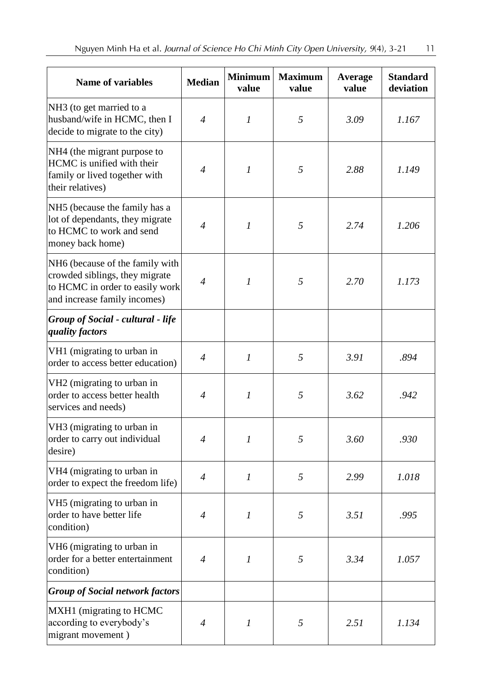| <b>Name of variables</b>                                                                                                             | <b>Median</b>  | <b>Minimum</b><br>value     | <b>Maximum</b><br>value | Average<br>value | <b>Standard</b><br>deviation |
|--------------------------------------------------------------------------------------------------------------------------------------|----------------|-----------------------------|-------------------------|------------------|------------------------------|
| NH <sub>3</sub> (to get married to a<br>husband/wife in HCMC, then I<br>decide to migrate to the city)                               | $\overline{4}$ | $\boldsymbol{l}$            | 5                       | 3.09             | 1.167                        |
| NH4 (the migrant purpose to<br>HCMC is unified with their<br>family or lived together with<br>their relatives)                       | $\overline{4}$ | $\boldsymbol{l}$            | 5                       | 2.88             | 1.149                        |
| NH5 (because the family has a<br>lot of dependants, they migrate<br>to HCMC to work and send<br>money back home)                     | $\overline{4}$ | $\mathfrak{1}$              | 5                       | 2.74             | 1.206                        |
| NH6 (because of the family with<br>crowded siblings, they migrate<br>to HCMC in order to easily work<br>and increase family incomes) | $\overline{4}$ | $\boldsymbol{l}$            | 5                       | 2.70             | 1.173                        |
| <b>Group of Social - cultural - life</b><br>quality factors                                                                          |                |                             |                         |                  |                              |
| VH1 (migrating to urban in<br>order to access better education)                                                                      | $\overline{4}$ | $\mathcal{I}_{\mathcal{I}}$ | 5                       | 3.91             | .894                         |
| VH2 (migrating to urban in<br>order to access better health<br>services and needs)                                                   | $\overline{4}$ | $\boldsymbol{l}$            | 5                       | 3.62             | .942                         |
| VH3 (migrating to urban in<br>order to carry out individual<br>desire)                                                               | $\overline{A}$ | $\mathcal{I}$               | 5                       | 3.60             | .930                         |
| VH4 (migrating to urban in<br>order to expect the freedom life)                                                                      | $\overline{4}$ | $\boldsymbol{l}$            | 5                       | 2.99             | 1.018                        |
| VH5 (migrating to urban in<br>order to have better life<br>condition)                                                                | $\overline{4}$ | $\mathcal{I}_{\mathcal{I}}$ | 5                       | 3.51             | .995                         |
| VH6 (migrating to urban in<br>order for a better entertainment<br>condition)                                                         | $\overline{4}$ | $\mathfrak{1}$              | 5                       | 3.34             | 1.057                        |
| <b>Group of Social network factors</b>                                                                                               |                |                             |                         |                  |                              |
| MXH1 (migrating to HCMC<br>according to everybody's<br>migrant movement)                                                             | $\overline{4}$ | $\boldsymbol{l}$            | $\mathfrak{H}$          | 2.51             | 1.134                        |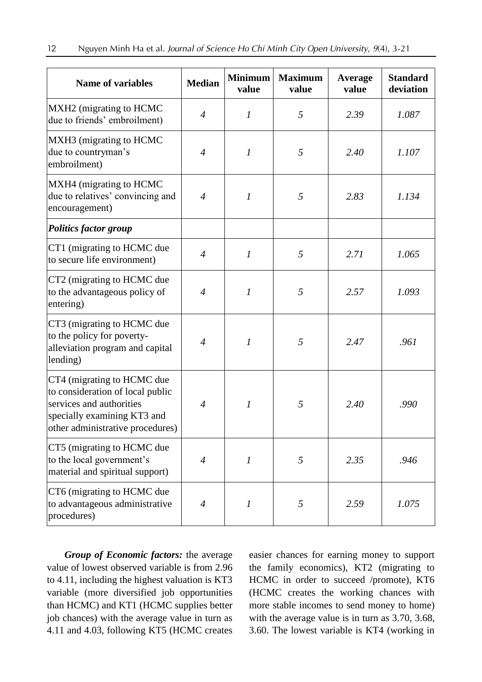| <b>Name of variables</b>                                                                                                                                      | <b>Median</b>  | <b>Minimum</b><br>value     | <b>Maximum</b><br>value | Average<br>value | <b>Standard</b><br>deviation |
|---------------------------------------------------------------------------------------------------------------------------------------------------------------|----------------|-----------------------------|-------------------------|------------------|------------------------------|
| MXH2 (migrating to HCMC<br>due to friends' embroilment)                                                                                                       | $\overline{4}$ | $\mathfrak{1}$              | 5                       | 2.39             | 1.087                        |
| MXH3 (migrating to HCMC<br>due to countryman's<br>embroilment)                                                                                                | $\overline{4}$ | $\mathfrak{I}$              | 5                       | 2.40             | 1.107                        |
| MXH4 (migrating to HCMC<br>due to relatives' convincing and<br>encouragement)                                                                                 | $\overline{4}$ | 1                           | 5                       | 2.83             | 1.134                        |
| <b>Politics factor group</b>                                                                                                                                  |                |                             |                         |                  |                              |
| CT1 (migrating to HCMC due<br>to secure life environment)                                                                                                     | $\overline{4}$ | $\mathfrak{I}$              | 5                       | 2.71             | 1.065                        |
| CT2 (migrating to HCMC due<br>to the advantageous policy of<br>entering)                                                                                      | $\overline{4}$ | $\mathfrak{I}$              | 5                       | 2.57             | 1.093                        |
| CT3 (migrating to HCMC due<br>to the policy for poverty-<br>alleviation program and capital<br>lending)                                                       | $\overline{4}$ | $\mathfrak{I}$              | 5                       | 2.47             | .961                         |
| CT4 (migrating to HCMC due<br>to consideration of local public<br>services and authorities<br>specially examining KT3 and<br>other administrative procedures) | $\overline{4}$ | $\boldsymbol{l}$            | 5                       | 2.40             | .990                         |
| CT5 (migrating to HCMC due<br>to the local government's<br>material and spiritual support)                                                                    | $\overline{4}$ | $\mathfrak{I}$              | 5                       | 2.35             | .946                         |
| CT6 (migrating to HCMC due<br>to advantageous administrative<br>procedures)                                                                                   | $\overline{4}$ | $\mathcal{I}_{\mathcal{I}}$ | 5                       | 2.59             | 1.075                        |

*Group of Economic factors:* the average value of lowest observed variable is from 2.96 to 4.11, including the highest valuation is KT3 variable (more diversified job opportunities than HCMC) and KT1 (HCMC supplies better job chances) with the average value in turn as 4.11 and 4.03, following KT5 (HCMC creates

easier chances for earning money to support the family economics), KT2 (migrating to HCMC in order to succeed /promote), KT6 (HCMC creates the working chances with more stable incomes to send money to home) with the average value is in turn as 3.70, 3.68, 3.60. The lowest variable is KT4 (working in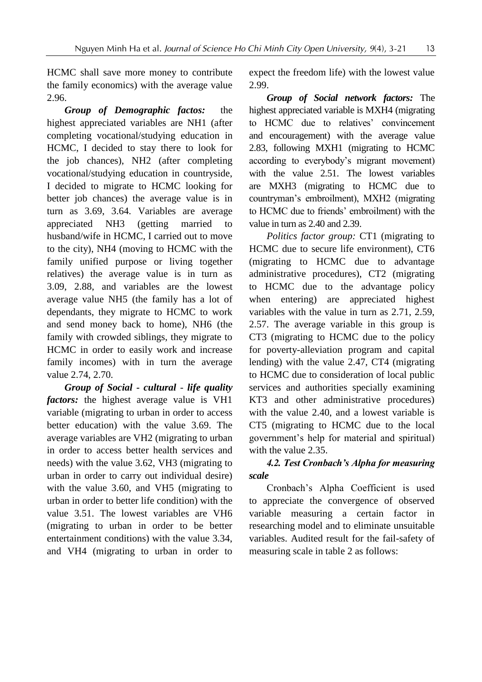HCMC shall save more money to contribute the family economics) with the average value 2.96.

*Group of Demographic factos:* the highest appreciated variables are NH1 (after completing vocational/studying education in HCMC, I decided to stay there to look for the job chances), NH2 (after completing vocational/studying education in countryside, I decided to migrate to HCMC looking for better job chances) the average value is in turn as 3.69, 3.64. Variables are average appreciated NH3 (getting married to husband/wife in HCMC, I carried out to move to the city), NH4 (moving to HCMC with the family unified purpose or living together relatives) the average value is in turn as 3.09, 2.88, and variables are the lowest average value NH5 (the family has a lot of dependants, they migrate to HCMC to work and send money back to home), NH6 (the family with crowded siblings, they migrate to HCMC in order to easily work and increase family incomes) with in turn the average value 2.74, 2.70.

*Group of Social - cultural - life quality factors:* the highest average value is VH1 variable (migrating to urban in order to access better education) with the value 3.69. The average variables are VH2 (migrating to urban in order to access better health services and needs) with the value 3.62, VH3 (migrating to urban in order to carry out individual desire) with the value 3.60, and VH5 (migrating to urban in order to better life condition) with the value 3.51. The lowest variables are VH6 (migrating to urban in order to be better entertainment conditions) with the value 3.34, and VH4 (migrating to urban in order to

expect the freedom life) with the lowest value 2.99.

*Group of Social network factors:* The highest appreciated variable is MXH4 (migrating to HCMC due to relatives' convincement and encouragement) with the average value 2.83, following MXH1 (migrating to HCMC according to everybody's migrant movement) with the value 2.51. The lowest variables are MXH3 (migrating to HCMC due to countryman's embroilment), MXH2 (migrating to HCMC due to friends' embroilment) with the value in turn as 2.40 and 2.39.

*Politics factor group:* CT1 (migrating to HCMC due to secure life environment), CT6 (migrating to HCMC due to advantage administrative procedures), CT2 (migrating to HCMC due to the advantage policy when entering) are appreciated highest variables with the value in turn as 2.71, 2.59, 2.57. The average variable in this group is CT3 (migrating to HCMC due to the policy for poverty-alleviation program and capital lending) with the value 2.47, CT4 (migrating to HCMC due to consideration of local public services and authorities specially examining KT3 and other administrative procedures) with the value 2.40, and a lowest variable is CT5 (migrating to HCMC due to the local government's help for material and spiritual) with the value 2.35.

## *4.2. Test Cronbach's Alpha for measuring scale*

Cronbach's Alpha Coefficient is used to appreciate the convergence of observed variable measuring a certain factor in researching model and to eliminate unsuitable variables. Audited result for the fail-safety of measuring scale in table 2 as follows: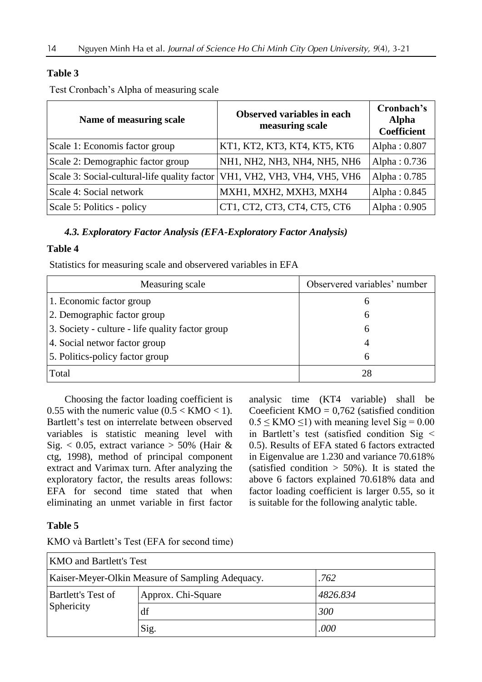## **Table 3**

Test Cronbach's Alpha of measuring scale

| Name of measuring scale                                                     | <b>Observed variables in each</b><br>measuring scale | Cronbach's<br><b>Alpha</b><br><b>Coefficient</b> |
|-----------------------------------------------------------------------------|------------------------------------------------------|--------------------------------------------------|
| Scale 1: Economis factor group                                              | KT1, KT2, KT3, KT4, KT5, KT6                         | Alpha: 0.807                                     |
| Scale 2: Demographic factor group                                           | NH1, NH2, NH3, NH4, NH5, NH6                         | Alpha: 0.736                                     |
| Scale 3: Social-cultural-life quality factor   VH1, VH2, VH3, VH4, VH5, VH6 |                                                      | Alpha: 0.785                                     |
| Scale 4: Social network                                                     | MXH1, MXH2, MXH3, MXH4                               | Alpha: 0.845                                     |
| Scale 5: Politics - policy                                                  | CT1, CT2, CT3, CT4, CT5, CT6                         | Alpha: 0.905                                     |

## *4.3. Exploratory Factor Analysis (EFA-Exploratory Factor Analysis)*

### **Table 4**

Statistics for measuring scale and observered variables in EFA

| Measuring scale                                  | Observered variables' number |
|--------------------------------------------------|------------------------------|
| 1. Economic factor group                         |                              |
| 2. Demographic factor group                      | h                            |
| 3. Society - culture - life quality factor group | h                            |
| 4. Social networ factor group                    |                              |
| 5. Politics-policy factor group                  | h                            |
| Total                                            |                              |

Choosing the factor loading coefficient is 0.55 with the numeric value  $(0.5 < KMO < 1)$ . Bartlett's test on interrelate between observed variables is statistic meaning level with Sig.  $< 0.05$ , extract variance  $> 50\%$  (Hair & ctg, 1998), method of principal component extract and Varimax turn. After analyzing the exploratory factor, the results areas follows: EFA for second time stated that when eliminating an unmet variable in first factor

analysic time (KT4 variable) shall be Coeeficient  $KMO = 0.762$  (satisfied condition  $0.5 \leq KMO \leq 1$ ) with meaning level Sig = 0.00 in Bartlett's test (satisfied condition Sig < 0.5). Results of EFA stated 6 factors extracted in Eigenvalue are 1.230 and variance 70.618% (satisfied condition  $> 50\%$ ). It is stated the above 6 factors explained 70.618% data and factor loading coefficient is larger 0.55, so it is suitable for the following analytic table.

## **Table 5**

KMO và Bartlett's Test (EFA for second time)

| <b>KMO</b> and Bartlett's Test                           |                    |          |  |  |
|----------------------------------------------------------|--------------------|----------|--|--|
| .762<br>Kaiser-Meyer-Olkin Measure of Sampling Adequacy. |                    |          |  |  |
| Bartlett's Test of<br>Sphericity                         | Approx. Chi-Square | 4826.834 |  |  |
|                                                          | df                 | 300      |  |  |
|                                                          | Sig.               | .000     |  |  |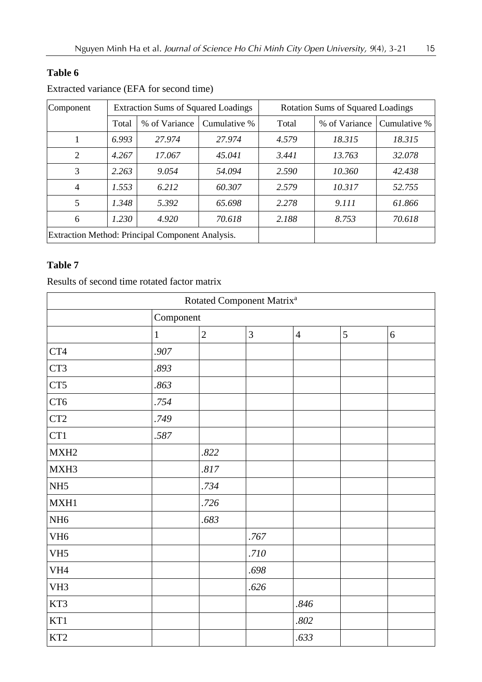# **Table 6**

| Component                                        |       | <b>Extraction Sums of Squared Loadings</b> |              | <b>Rotation Sums of Squared Loadings</b> |               |              |
|--------------------------------------------------|-------|--------------------------------------------|--------------|------------------------------------------|---------------|--------------|
|                                                  | Total | % of Variance                              | Cumulative % | Total                                    | % of Variance | Cumulative % |
|                                                  | 6.993 | 27.974                                     | 27.974       | 4.579                                    | 18.315        | 18.315       |
| 2                                                | 4.267 | 17.067                                     | 45.041       | 3.441                                    | 13.763        | 32.078       |
| 3                                                | 2.263 | 9.054                                      | 54.094       | 2.590                                    | 10.360        | 42.438       |
| $\overline{4}$                                   | 1.553 | 6.212                                      | 60.307       | 2.579                                    | 10.317        | 52.755       |
| 5                                                | 1.348 | 5.392                                      | 65.698       | 2.278                                    | 9.111         | 61.866       |
| 6                                                | 1.230 | 4.920                                      | 70.618       | 2.188                                    | 8.753         | 70.618       |
| Extraction Method: Principal Component Analysis. |       |                                            |              |                                          |               |              |

# Extracted variance (EFA for second time)

# **Table 7**

Results of second time rotated factor matrix

|                  |              |                | Rotated Component Matrix <sup>a</sup> |                |   |       |
|------------------|--------------|----------------|---------------------------------------|----------------|---|-------|
| Component        |              |                |                                       |                |   |       |
|                  | $\mathbf{1}$ | $\overline{2}$ | 3                                     | $\overline{4}$ | 5 | $6\,$ |
| CT4              | .907         |                |                                       |                |   |       |
| CT3              | .893         |                |                                       |                |   |       |
| CT5              | .863         |                |                                       |                |   |       |
| CT <sub>6</sub>  | .754         |                |                                       |                |   |       |
| CT <sub>2</sub>  | .749         |                |                                       |                |   |       |
| CT1              | .587         |                |                                       |                |   |       |
| MXH <sub>2</sub> |              | .822           |                                       |                |   |       |
| MXH3             |              | .817           |                                       |                |   |       |
| NH <sub>5</sub>  |              | .734           |                                       |                |   |       |
| MXH1             |              | .726           |                                       |                |   |       |
| NH <sub>6</sub>  |              | .683           |                                       |                |   |       |
| VH <sub>6</sub>  |              |                | .767                                  |                |   |       |
| VH <sub>5</sub>  |              |                | .710                                  |                |   |       |
| VH <sub>4</sub>  |              |                | .698                                  |                |   |       |
| VH3              |              |                | .626                                  |                |   |       |
| KT3              |              |                |                                       | .846           |   |       |
| KT1              |              |                |                                       | .802           |   |       |
| KT <sub>2</sub>  |              |                |                                       | .633           |   |       |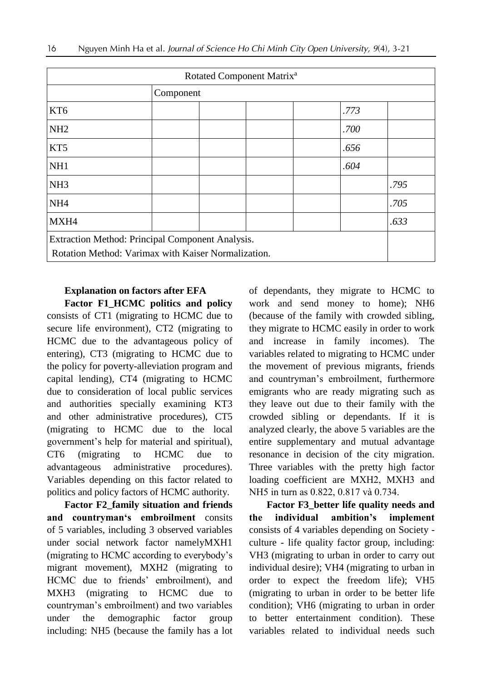| Rotated Component Matrix <sup>a</sup>                                                                   |  |  |      |      |
|---------------------------------------------------------------------------------------------------------|--|--|------|------|
| Component                                                                                               |  |  |      |      |
| KT <sub>6</sub>                                                                                         |  |  | .773 |      |
| NH <sub>2</sub>                                                                                         |  |  | .700 |      |
| KT5                                                                                                     |  |  | .656 |      |
| NH <sub>1</sub>                                                                                         |  |  | .604 |      |
| NH <sub>3</sub>                                                                                         |  |  |      | .795 |
| NH <sub>4</sub>                                                                                         |  |  |      | .705 |
| MXH4                                                                                                    |  |  |      | .633 |
| Extraction Method: Principal Component Analysis.<br>Rotation Method: Varimax with Kaiser Normalization. |  |  |      |      |

#### **Explanation on factors after EFA**

**Factor F1\_HCMC politics and policy** consists of CT1 (migrating to HCMC due to secure life environment), CT2 (migrating to HCMC due to the advantageous policy of entering), CT3 (migrating to HCMC due to the policy for poverty-alleviation program and capital lending), CT4 (migrating to HCMC due to consideration of local public services and authorities specially examining KT3 and other administrative procedures), CT5 (migrating to HCMC due to the local government's help for material and spiritual), CT6 (migrating to HCMC due to advantageous administrative procedures). Variables depending on this factor related to politics and policy factors of HCMC authority.

**Factor F2\_family situation and friends and countryman's embroilment** consits of 5 variables, including 3 observed variables under social network factor namelyMXH1 (migrating to HCMC according to everybody's migrant movement), MXH2 (migrating to HCMC due to friends' embroilment), and MXH3 (migrating to HCMC due to countryman's embroilment) and two variables under the demographic factor group including: NH5 (because the family has a lot of dependants, they migrate to HCMC to work and send money to home); NH6 (because of the family with crowded sibling, they migrate to HCMC easily in order to work and increase in family incomes). The variables related to migrating to HCMC under the movement of previous migrants, friends and countryman's embroilment, furthermore emigrants who are ready migrating such as they leave out due to their family with the crowded sibling or dependants. If it is analyzed clearly, the above 5 variables are the entire supplementary and mutual advantage resonance in decision of the city migration. Three variables with the pretty high factor loading coefficient are MXH2, MXH3 and NH5 in turn as 0.822, 0.817 và 0.734.

**Factor F3\_better life quality needs and the individual ambition's implement**  consists of 4 variables depending on Society culture - life quality factor group, including: VH3 (migrating to urban in order to carry out individual desire); VH4 (migrating to urban in order to expect the freedom life); VH5 (migrating to urban in order to be better life condition); VH6 (migrating to urban in order to better entertainment condition). These variables related to individual needs such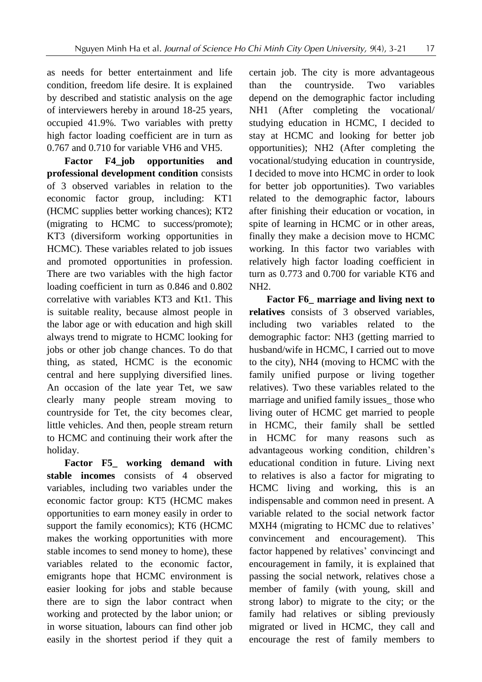as needs for better entertainment and life condition, freedom life desire. It is explained by described and statistic analysis on the age of interviewers hereby in around 18-25 years, occupied 41.9%. Two variables with pretty high factor loading coefficient are in turn as 0.767 and 0.710 for variable VH6 and VH5.

**Factor F4\_job opportunities and professional development condition** consists of 3 observed variables in relation to the economic factor group, including: KT1 (HCMC supplies better working chances); KT2 (migrating to HCMC to success/promote); KT3 (diversiform working opportunities in HCMC). These variables related to job issues and promoted opportunities in profession. There are two variables with the high factor loading coefficient in turn as 0.846 and 0.802 correlative with variables KT3 and Kt1. This is suitable reality, because almost people in the labor age or with education and high skill always trend to migrate to HCMC looking for jobs or other job change chances. To do that thing, as stated, HCMC is the economic central and here supplying diversified lines. An occasion of the late year Tet, we saw clearly many people stream moving to countryside for Tet, the city becomes clear, little vehicles. And then, people stream return to HCMC and continuing their work after the holiday.

**Factor F5\_ working demand with stable incomes** consists of 4 observed variables, including two variables under the economic factor group: KT5 (HCMC makes opportunities to earn money easily in order to support the family economics); KT6 (HCMC makes the working opportunities with more stable incomes to send money to home), these variables related to the economic factor, emigrants hope that HCMC environment is easier looking for jobs and stable because there are to sign the labor contract when working and protected by the labor union; or in worse situation, labours can find other job easily in the shortest period if they quit a certain job. The city is more advantageous than the countryside. Two variables depend on the demographic factor including NH1 (After completing the vocational/ studying education in HCMC, I decided to stay at HCMC and looking for better job opportunities); NH2 (After completing the vocational/studying education in countryside, I decided to move into HCMC in order to look for better job opportunities). Two variables related to the demographic factor, labours after finishing their education or vocation, in spite of learning in HCMC or in other areas, finally they make a decision move to HCMC working. In this factor two variables with relatively high factor loading coefficient in turn as 0.773 and 0.700 for variable KT6 and NH2.

**Factor F6\_ marriage and living next to relatives** consists of 3 observed variables, including two variables related to the demographic factor: NH3 (getting married to husband/wife in HCMC, I carried out to move to the city), NH4 (moving to HCMC with the family unified purpose or living together relatives). Two these variables related to the marriage and unified family issues\_ those who living outer of HCMC get married to people in HCMC, their family shall be settled in HCMC for many reasons such as advantageous working condition, children's educational condition in future. Living next to relatives is also a factor for migrating to HCMC living and working, this is an indispensable and common need in present. A variable related to the social network factor MXH4 (migrating to HCMC due to relatives' convincement and encouragement). This factor happened by relatives' convincingt and encouragement in family, it is explained that passing the social network, relatives chose a member of family (with young, skill and strong labor) to migrate to the city; or the family had relatives or sibling previously migrated or lived in HCMC, they call and encourage the rest of family members to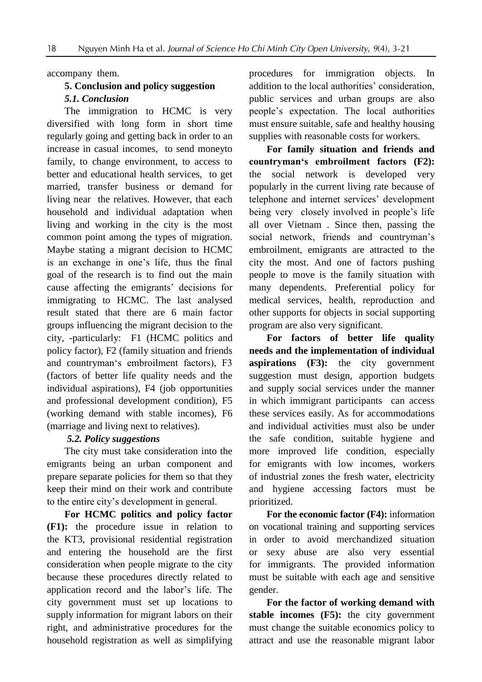accompany them.

### **5. Conclusion and policy suggestion** *5.1. Conclusion*

The immigration to HCMC is very diversified with long form in short time regularly going and getting back in order to an increase in casual incomes, to send moneyto family, to change environment, to access to better and educational health services, to get married, transfer business or demand for living near the relatives. However, that each household and individual adaptation when living and working in the city is the most common point among the types of migration. Maybe stating a migrant decision to HCMC is an exchange in one's life, thus the final goal of the research is to find out the main cause affecting the emigrants' decisions for immigrating to HCMC. The last analysed result stated that there are 6 main factor groups influencing the migrant decision to the city, -particularly: F1 (HCMC politics and policy factor), F2 (family situation and friends and countryman's embroilment factors), F3 (factors of better life quality needs and the individual aspirations), F4 (job opportunities and professional development condition), F5 (working demand with stable incomes), F6 (marriage and living next to relatives).

## *5.2. Policy suggestions*

The city must take consideration into the emigrants being an urban component and prepare separate policies for them so that they keep their mind on their work and contribute to the entire city's development in general.

**For HCMC politics and policy factor (F1):** the procedure issue in relation to the KT3, provisional residential registration and entering the household are the first consideration when people migrate to the city because these procedures directly related to application record and the labor's life. The city government must set up locations to supply information for migrant labors on their right, and administrative procedures for the household registration as well as simplifying

procedures for immigration objects. In addition to the local authorities' consideration, public services and urban groups are also people's expectation. The local authorities must ensure suitable, safe and healthy housing supplies with reasonable costs for workers.

**For family situation and friends and countryman's embroilment factors (F2):**  the social network is developed very popularly in the current living rate because of telephone and internet services' development being very closely involved in people's life all over Vietnam . Since then, passing the social network, friends and countryman's embroilment, emigrants are attracted to the city the most. And one of factors pushing people to move is the family situation with many dependents. Preferential policy for medical services, health, reproduction and other supports for objects in social supporting program are also very significant.

**For factors of better life quality needs and the implementation of individual aspirations (F3):** the city government suggestion must design, apportion budgets and supply social services under the manner in which immigrant participants can access these services easily. As for accommodations and individual activities must also be under the safe condition, suitable hygiene and more improved life condition, especially for emigrants with low incomes, workers of industrial zones the fresh water, electricity and hygiene accessing factors must be prioritized.

**For the economic factor (F4):** information on vocational training and supporting services in order to avoid merchandized situation or sexy abuse are also very essential for immigrants. The provided information must be suitable with each age and sensitive gender.

**For the factor of working demand with stable incomes (F5):** the city government must change the suitable economics policy to attract and use the reasonable migrant labor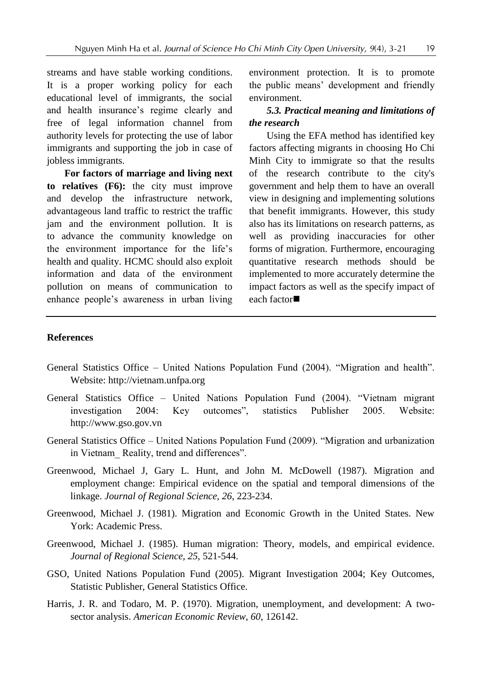streams and have stable working conditions. It is a proper working policy for each educational level of immigrants, the social and health insurance's regime clearly and free of legal information channel from authority levels for protecting the use of labor immigrants and supporting the job in case of jobless immigrants.

**For factors of marriage and living next to relatives (F6):** the city must improve and develop the infrastructure network, advantageous land traffic to restrict the traffic jam and the environment pollution. It is to advance the community knowledge on the environment importance for the life's health and quality. HCMC should also exploit information and data of the environment pollution on means of communication to enhance people's awareness in urban living environment protection. It is to promote the public means' development and friendly environment.

## *5.3. Practical meaning and limitations of the research*

Using the EFA method has identified key factors affecting migrants in choosing Ho Chi Minh City to immigrate so that the results of the research contribute to the city's government and help them to have an overall view in designing and implementing solutions that benefit immigrants. However, this study also has its limitations on research patterns, as well as providing inaccuracies for other forms of migration. Furthermore, encouraging quantitative research methods should be implemented to more accurately determine the impact factors as well as the specify impact of each factor**■** 

## **References**

- General Statistics Office United Nations Population Fund (2004). "Migration and health". Website: [http://vietnam.unfpa.org](http://vietnam.unfpa.org/)
- General Statistics Office United Nations Population Fund (2004). "Vietnam migrant investigation 2004: Key outcomes", statistics Publisher 2005. Website: http://www.gso.gov.vn
- General Statistics Office United Nations Population Fund (2009). "Migration and urbanization in Vietnam Reality, trend and differences".
- Greenwood, Michael J, Gary L. Hunt, and John M. McDowell (1987). Migration and employment change: Empirical evidence on the spatial and temporal dimensions of the linkage. *Journal of Regional Science, 26*, 223-234.
- Greenwood, Michael J. (1981). Migration and Economic Growth in the United States. New York: Academic Press.
- Greenwood, Michael J. (1985). Human migration: Theory, models, and empirical evidence. *Journal of Regional Science, 25,* 521-544.
- GSO, United Nations Population Fund (2005). Migrant Investigation 2004; Key Outcomes, Statistic Publisher, General Statistics Office.
- Harris, J. R. and Todaro, M. P. (1970). Migration, unemployment, and development: A twosector analysis. *American Economic Review, 60*, 126142.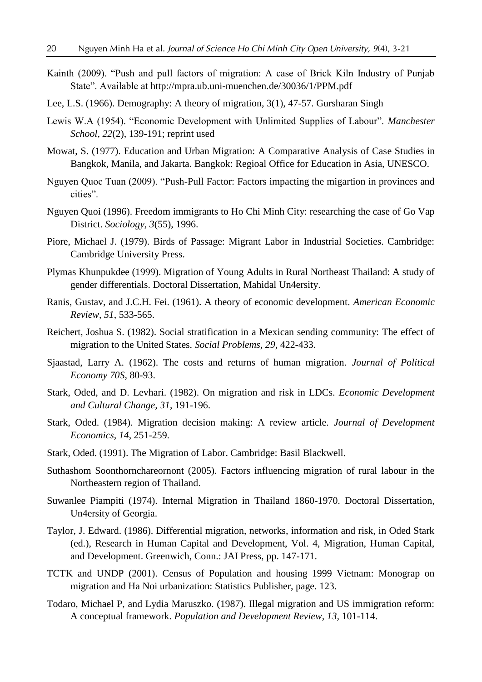- Kainth (2009). "Push and pull factors of migration: A case of Brick Kiln Industry of Punjab State". Available at<http://mpra.ub.uni-muenchen.de/30036/1/PPM.pdf>
- Lee, L.S. (1966). Demography: A theory of migration, 3(1), 47-57. Gursharan Singh
- Lewis W.A (1954). "Economic Development with Unlimited Supplies of Labour". *Manchester School, 22*(2), 139-191; reprint used
- Mowat, S. (1977). Education and Urban Migration: A Comparative Analysis of Case Studies in Bangkok, Manila, and Jakarta. Bangkok: Regioal Office for Education in Asia, UNESCO.
- Nguyen Quoc Tuan (2009). "Push-Pull Factor: Factors impacting the migartion in provinces and cities".
- Nguyen Quoi (1996). Freedom immigrants to Ho Chi Minh City: researching the case of Go Vap District. *Sociology, 3*(55), 1996.
- Piore, Michael J. (1979). Birds of Passage: Migrant Labor in Industrial Societies. Cambridge: Cambridge University Press.
- Plymas Khunpukdee (1999). Migration of Young Adults in Rural Northeast Thailand: A study of gender differentials. Doctoral Dissertation, Mahidal Un4ersity.
- Ranis, Gustav, and J.C.H. Fei. (1961). A theory of economic development. *American Economic Review, 51*, 533-565.
- Reichert, Joshua S. (1982). Social stratification in a Mexican sending community: The effect of migration to the United States. *Social Problems, 29,* 422-433.
- Sjaastad, Larry A. (1962). The costs and returns of human migration. *Journal of Political Economy 70S,* 80-93.
- Stark, Oded, and D. Levhari. (1982). On migration and risk in LDCs. *Economic Development and Cultural Change, 31*, 191-196.
- Stark, Oded. (1984). Migration decision making: A review article. *Journal of Development Economics, 14*, 251-259.
- Stark, Oded. (1991). The Migration of Labor. Cambridge: Basil Blackwell.
- Suthashom Soonthornchareornont (2005). Factors influencing migration of rural labour in the Northeastern region of Thailand.
- Suwanlee Piampiti (1974). Internal Migration in Thailand 1860-1970. Doctoral Dissertation, Un4ersity of Georgia.
- Taylor, J. Edward. (1986). Differential migration, networks, information and risk, in Oded Stark (ed.), Research in Human Capital and Development, Vol. 4, Migration, Human Capital, and Development. Greenwich, Conn.: JAI Press, pp. 147-171.
- TCTK and UNDP (2001). Census of Population and housing 1999 Vietnam: Monograp on migration and Ha Noi urbanization: Statistics Publisher, page. 123.
- Todaro, Michael P, and Lydia Maruszko. (1987). Illegal migration and US immigration reform: A conceptual framework. *Population and Development Review, 13,* 101-114.